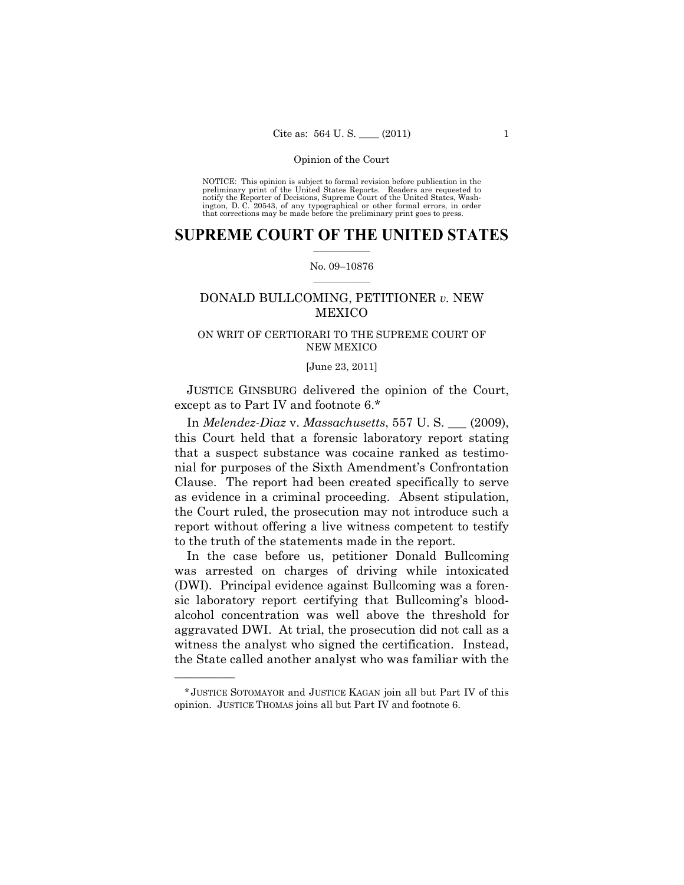NOTICE: This opinion is subject to formal revision before publication in the preliminary print of the United States Reports. Readers are requested to notify the Reporter of Decisions, Supreme Court of the United States, Washington, D. C. 20543, of any typographical or other formal errors, in order that corrections may be made before the preliminary print goes to press.

## **SUPREME COURT OF THE UNITED STATES**  $\frac{1}{2}$  ,  $\frac{1}{2}$  ,  $\frac{1}{2}$  ,  $\frac{1}{2}$  ,  $\frac{1}{2}$  ,  $\frac{1}{2}$  ,  $\frac{1}{2}$

#### No. 09–10876  $\frac{1}{2}$  ,  $\frac{1}{2}$  ,  $\frac{1}{2}$  ,  $\frac{1}{2}$  ,  $\frac{1}{2}$  ,  $\frac{1}{2}$

# DONALD BULLCOMING, PETITIONER *v.* NEW **MEXICO**

# ON WRIT OF CERTIORARI TO THE SUPREME COURT OF NEW MEXICO

## [June 23, 2011]

 JUSTICE GINSBURG delivered the opinion of the Court, except as to Part IV and footnote 6.\*

 In *Melendez-Diaz* v. *Massachusetts*, 557 U. S. \_\_\_ (2009), this Court held that a forensic laboratory report stating that a suspect substance was cocaine ranked as testimonial for purposes of the Sixth Amendment's Confrontation Clause. The report had been created specifically to serve as evidence in a criminal proceeding. Absent stipulation, the Court ruled, the prosecution may not introduce such a report without offering a live witness competent to testify to the truth of the statements made in the report.

 In the case before us, petitioner Donald Bullcoming was arrested on charges of driving while intoxicated (DWI). Principal evidence against Bullcoming was a forensic laboratory report certifying that Bullcoming's bloodalcohol concentration was well above the threshold for aggravated DWI. At trial, the prosecution did not call as a witness the analyst who signed the certification. Instead, the State called another analyst who was familiar with the

<sup>\*</sup>JUSTICE SOTOMAYOR and JUSTICE KAGAN join all but Part IV of this opinion. JUSTICE THOMAS joins all but Part IV and footnote 6.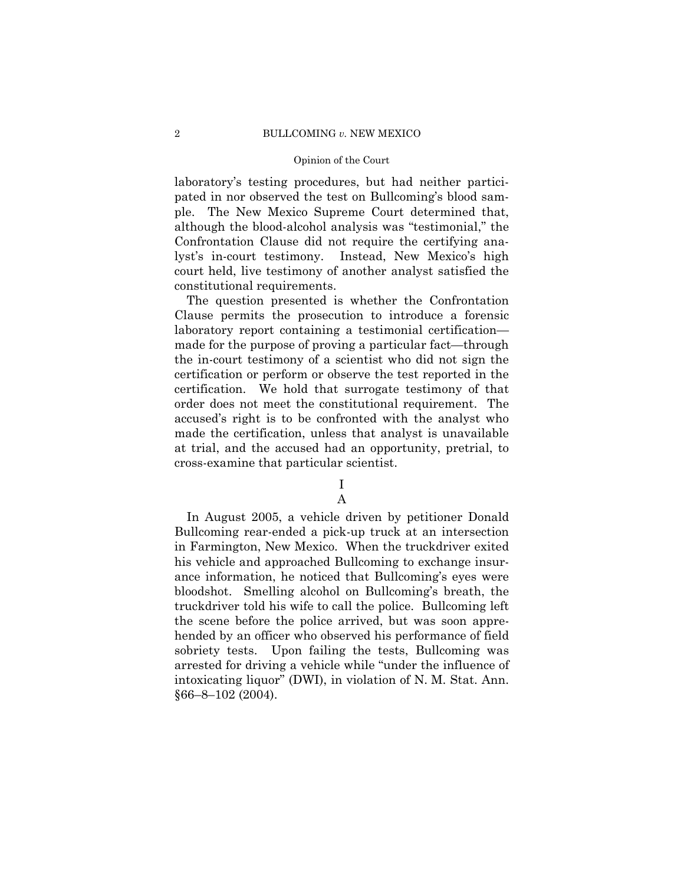laboratory's testing procedures, but had neither participated in nor observed the test on Bullcoming's blood sample. The New Mexico Supreme Court determined that, although the blood-alcohol analysis was "testimonial," the Confrontation Clause did not require the certifying analyst's in-court testimony. Instead, New Mexico's high court held, live testimony of another analyst satisfied the constitutional requirements.

 The question presented is whether the Confrontation Clause permits the prosecution to introduce a forensic laboratory report containing a testimonial certification made for the purpose of proving a particular fact—through the in-court testimony of a scientist who did not sign the certification or perform or observe the test reported in the certification. We hold that surrogate testimony of that order does not meet the constitutional requirement. The accused's right is to be confronted with the analyst who made the certification, unless that analyst is unavailable at trial, and the accused had an opportunity, pretrial, to cross-examine that particular scientist.

# I

A

 In August 2005, a vehicle driven by petitioner Donald Bullcoming rear-ended a pick-up truck at an intersection in Farmington, New Mexico. When the truckdriver exited his vehicle and approached Bullcoming to exchange insurance information, he noticed that Bullcoming's eyes were bloodshot. Smelling alcohol on Bullcoming's breath, the truckdriver told his wife to call the police. Bullcoming left the scene before the police arrived, but was soon apprehended by an officer who observed his performance of field sobriety tests. Upon failing the tests, Bullcoming was arrested for driving a vehicle while "under the influence of intoxicating liquor" (DWI), in violation of N. M. Stat. Ann. §66–8–102 (2004).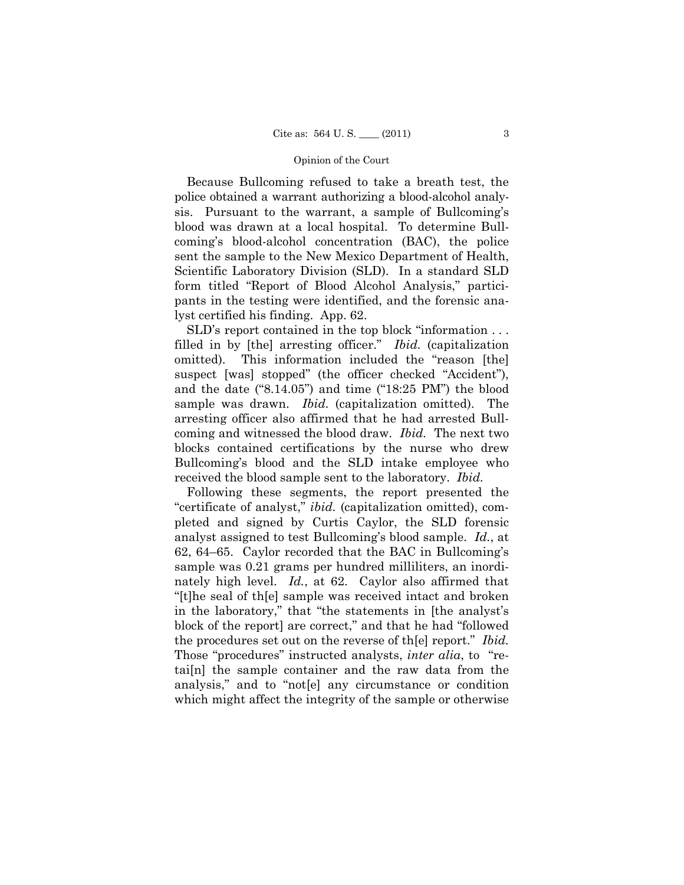Because Bullcoming refused to take a breath test, the police obtained a warrant authorizing a blood-alcohol analysis. Pursuant to the warrant, a sample of Bullcoming's blood was drawn at a local hospital. To determine Bullcoming's blood-alcohol concentration (BAC), the police sent the sample to the New Mexico Department of Health, Scientific Laboratory Division (SLD). In a standard SLD form titled "Report of Blood Alcohol Analysis," participants in the testing were identified, and the forensic analyst certified his finding. App. 62.

 SLD's report contained in the top block "information . . . filled in by [the] arresting officer." *Ibid.* (capitalization omitted). This information included the "reason [the] suspect [was] stopped" (the officer checked "Accident"), and the date ("8.14.05") and time ("18:25 PM") the blood sample was drawn. *Ibid.* (capitalization omitted). The arresting officer also affirmed that he had arrested Bullcoming and witnessed the blood draw. *Ibid.* The next two blocks contained certifications by the nurse who drew Bullcoming's blood and the SLD intake employee who received the blood sample sent to the laboratory. *Ibid.*

 Following these segments, the report presented the "certificate of analyst," *ibid.* (capitalization omitted), completed and signed by Curtis Caylor, the SLD forensic analyst assigned to test Bullcoming's blood sample. *Id.*, at 62, 64–65. Caylor recorded that the BAC in Bullcoming's sample was 0.21 grams per hundred milliliters, an inordinately high level. *Id.*, at 62. Caylor also affirmed that "[t]he seal of th[e] sample was received intact and broken in the laboratory," that "the statements in [the analyst's block of the report] are correct," and that he had "followed the procedures set out on the reverse of th[e] report." *Ibid.* Those "procedures" instructed analysts, *inter alia*, to "retai[n] the sample container and the raw data from the analysis," and to "not[e] any circumstance or condition which might affect the integrity of the sample or otherwise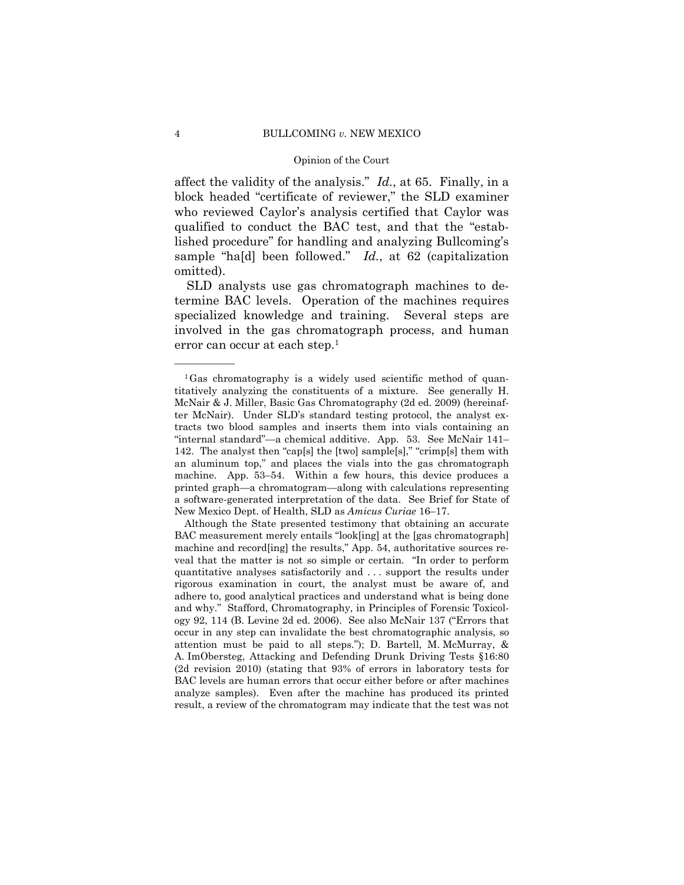affect the validity of the analysis." *Id.*, at 65. Finally, in a block headed "certificate of reviewer," the SLD examiner who reviewed Caylor's analysis certified that Caylor was qualified to conduct the BAC test, and that the "established procedure" for handling and analyzing Bullcoming's sample "ha[d] been followed." *Id.*, at 62 (capitalization omitted).

 SLD analysts use gas chromatograph machines to determine BAC levels. Operation of the machines requires specialized knowledge and training. Several steps are involved in the gas chromatograph process, and human error can occur at each step.1

<sup>1</sup>Gas chromatography is a widely used scientific method of quantitatively analyzing the constituents of a mixture. See generally H. McNair & J. Miller, Basic Gas Chromatography (2d ed. 2009) (hereinafter McNair). Under SLD's standard testing protocol, the analyst extracts two blood samples and inserts them into vials containing an "internal standard"—a chemical additive. App. 53. See McNair 141– 142. The analyst then "cap[s] the [two] sample[s]," "crimp[s] them with an aluminum top," and places the vials into the gas chromatograph machine. App. 53–54. Within a few hours, this device produces a printed graph—a chromatogram—along with calculations representing a software-generated interpretation of the data. See Brief for State of New Mexico Dept. of Health, SLD as *Amicus Curiae* 16–17.

Although the State presented testimony that obtaining an accurate BAC measurement merely entails "look[ing] at the [gas chromatograph] machine and record[ing] the results," App. 54, authoritative sources reveal that the matter is not so simple or certain. "In order to perform quantitative analyses satisfactorily and . . . support the results under rigorous examination in court, the analyst must be aware of, and adhere to, good analytical practices and understand what is being done and why." Stafford, Chromatography, in Principles of Forensic Toxicology 92, 114 (B. Levine 2d ed. 2006). See also McNair 137 ("Errors that occur in any step can invalidate the best chromatographic analysis, so attention must be paid to all steps."); D. Bartell, M. McMurray, & A. ImObersteg, Attacking and Defending Drunk Driving Tests §16:80 (2d revision 2010) (stating that 93% of errors in laboratory tests for BAC levels are human errors that occur either before or after machines analyze samples). Even after the machine has produced its printed result, a review of the chromatogram may indicate that the test was not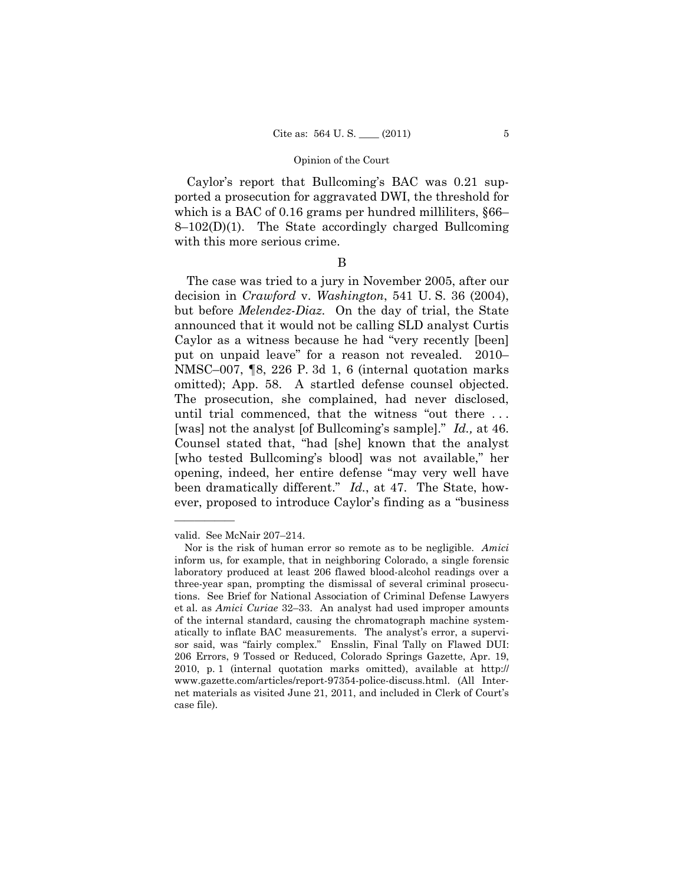Caylor's report that Bullcoming's BAC was 0.21 supported a prosecution for aggravated DWI, the threshold for which is a BAC of 0.16 grams per hundred milliliters,  $§66 8-102(D)(1)$ . The State accordingly charged Bullcoming with this more serious crime.

## B

 The case was tried to a jury in November 2005, after our decision in *Crawford* v. *Washington*, 541 U. S. 36 (2004), but before *Melendez-Diaz*. On the day of trial, the State announced that it would not be calling SLD analyst Curtis Caylor as a witness because he had "very recently [been] put on unpaid leave" for a reason not revealed. 2010– NMSC–007, ¶8, 226 P. 3d 1, 6 (internal quotation marks omitted); App. 58. A startled defense counsel objected. The prosecution, she complained, had never disclosed, until trial commenced, that the witness "out there . . . [was] not the analyst [of Bullcoming's sample]." *Id.,* at 46. Counsel stated that, "had [she] known that the analyst [who tested Bullcoming's blood] was not available," her opening, indeed, her entire defense "may very well have been dramatically different." *Id.*, at 47. The State, however, proposed to introduce Caylor's finding as a "business

valid. See McNair 207–214.

Nor is the risk of human error so remote as to be negligible. *Amici* inform us, for example, that in neighboring Colorado, a single forensic laboratory produced at least 206 flawed blood-alcohol readings over a three-year span, prompting the dismissal of several criminal prosecutions. See Brief for National Association of Criminal Defense Lawyers et al. as *Amici Curiae* 32–33. An analyst had used improper amounts of the internal standard, causing the chromatograph machine systematically to inflate BAC measurements. The analyst's error, a supervisor said, was "fairly complex." Ensslin, Final Tally on Flawed DUI: 206 Errors, 9 Tossed or Reduced, Colorado Springs Gazette, Apr. 19, 2010, p. 1 (internal quotation marks omitted), available at http:// www.gazette.com/articles/report-97354-police-discuss.html. (All Internet materials as visited June 21, 2011, and included in Clerk of Court's case file).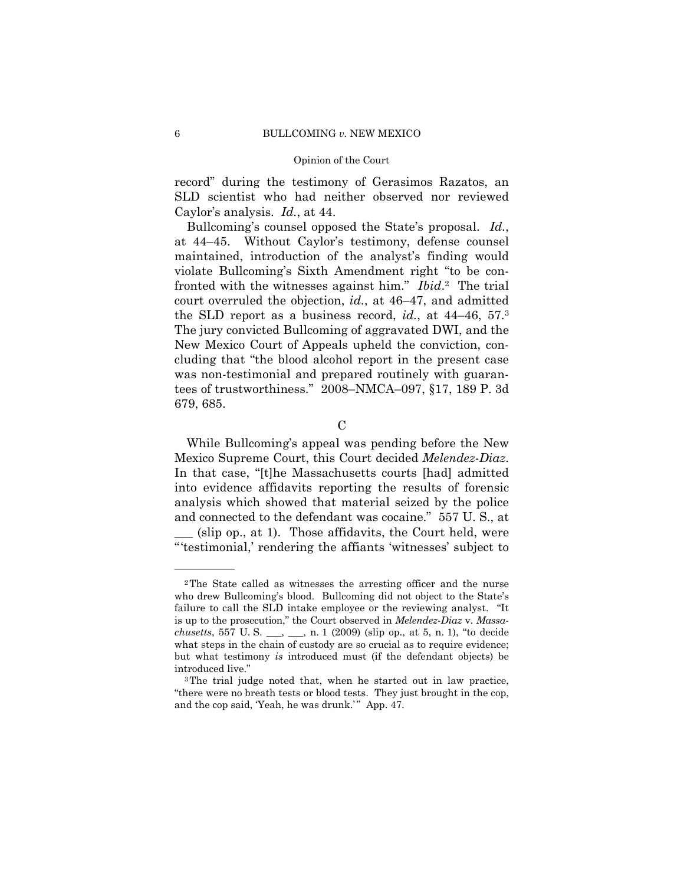record" during the testimony of Gerasimos Razatos, an SLD scientist who had neither observed nor reviewed Caylor's analysis. *Id.*, at 44.

 Bullcoming's counsel opposed the State's proposal. *Id.*, at 44–45. Without Caylor's testimony, defense counsel maintained, introduction of the analyst's finding would violate Bullcoming's Sixth Amendment right "to be confronted with the witnesses against him." *Ibid*.2 The trial court overruled the objection, *id.*, at 46–47, and admitted the SLD report as a business record, *id.*, at 44–46, 57.3 The jury convicted Bullcoming of aggravated DWI, and the New Mexico Court of Appeals upheld the conviction, concluding that "the blood alcohol report in the present case was non-testimonial and prepared routinely with guarantees of trustworthiness." 2008–NMCA–097, §17, 189 P. 3d 679, 685.

C

 While Bullcoming's appeal was pending before the New Mexico Supreme Court, this Court decided *Melendez-Diaz*. In that case, "[t]he Massachusetts courts [had] admitted into evidence affidavits reporting the results of forensic analysis which showed that material seized by the police and connected to the defendant was cocaine." 557 U. S., at \_\_\_ (slip op., at 1). Those affidavits, the Court held, were "'testimonial,' rendering the affiants 'witnesses' subject to

<sup>2</sup>The State called as witnesses the arresting officer and the nurse who drew Bullcoming's blood. Bullcoming did not object to the State's failure to call the SLD intake employee or the reviewing analyst. "It is up to the prosecution," the Court observed in *Melendez-Diaz* v. *Massachusetts*, 557 U. S. \_\_\_, \_\_\_, n. 1 (2009) (slip op., at 5, n. 1), "to decide what steps in the chain of custody are so crucial as to require evidence; but what testimony *is* introduced must (if the defendant objects) be introduced live."  $\frac{3}{10}$  and  $\frac{3}{10}$  and  $\frac{3}{10}$  and  $\frac{3}{10}$  and  $\frac{3}{10}$  and  $\frac{3}{10}$  and  $\frac{3}{10}$  and  $\frac{3}{10}$  and  $\frac{3}{10}$  and  $\frac{3}{10}$  and  $\frac{3}{10}$  and  $\frac{3}{10}$  and  $\frac{3}{10}$  and  $\frac{3}{10$ 

<sup>&</sup>quot;there were no breath tests or blood tests. They just brought in the cop, and the cop said, 'Yeah, he was drunk.'" App. 47.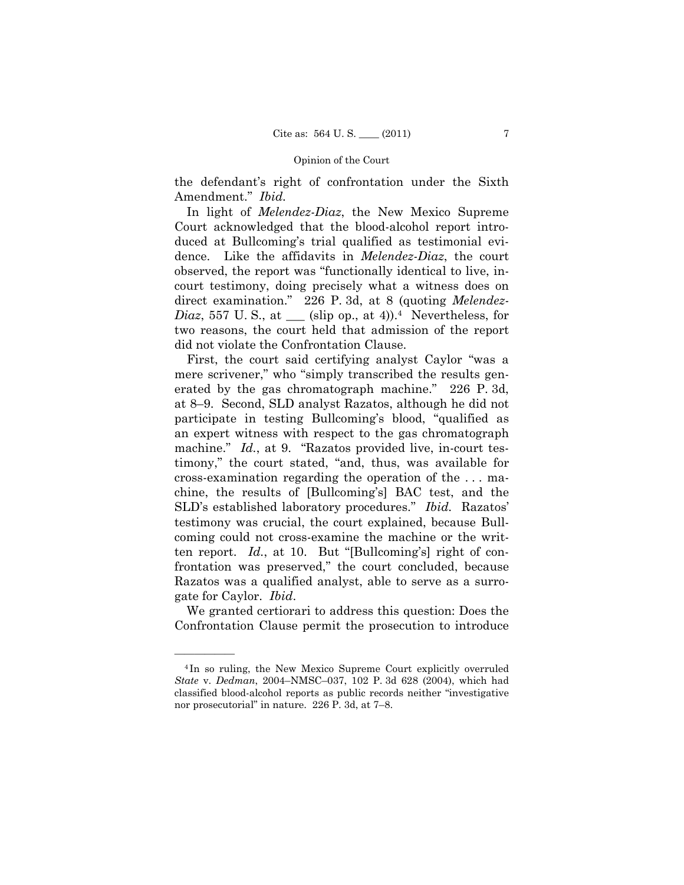the defendant's right of confrontation under the Sixth Amendment." *Ibid.*

 In light of *Melendez-Diaz*, the New Mexico Supreme Court acknowledged that the blood-alcohol report introduced at Bullcoming's trial qualified as testimonial evidence. Like the affidavits in *Melendez-Diaz*, the court observed, the report was "functionally identical to live, incourt testimony, doing precisely what a witness does on direct examination." 226 P. 3d, at 8 (quoting *Melendez-Diaz*, 557 U.S., at  $\_\_\_$  (slip op., at 4)).<sup>4</sup> Nevertheless, for two reasons, the court held that admission of the report did not violate the Confrontation Clause.

 First, the court said certifying analyst Caylor "was a mere scrivener," who "simply transcribed the results generated by the gas chromatograph machine." 226 P. 3d, at 8–9. Second, SLD analyst Razatos, although he did not participate in testing Bullcoming's blood, "qualified as an expert witness with respect to the gas chromatograph machine." *Id.*, at 9. "Razatos provided live, in-court testimony," the court stated, "and, thus, was available for cross-examination regarding the operation of the . . . machine, the results of [Bullcoming's] BAC test, and the SLD's established laboratory procedures." *Ibid.* Razatos' testimony was crucial, the court explained, because Bullcoming could not cross-examine the machine or the written report. *Id.*, at 10. But "[Bullcoming's] right of confrontation was preserved," the court concluded, because Razatos was a qualified analyst, able to serve as a surrogate for Caylor. *Ibid*.

 We granted certiorari to address this question: Does the Confrontation Clause permit the prosecution to introduce

<sup>4</sup> In so ruling, the New Mexico Supreme Court explicitly overruled *State* v. *Dedman*, 2004–NMSC–037, 102 P. 3d 628 (2004), which had classified blood-alcohol reports as public records neither "investigative nor prosecutorial" in nature. 226 P. 3d, at 7–8.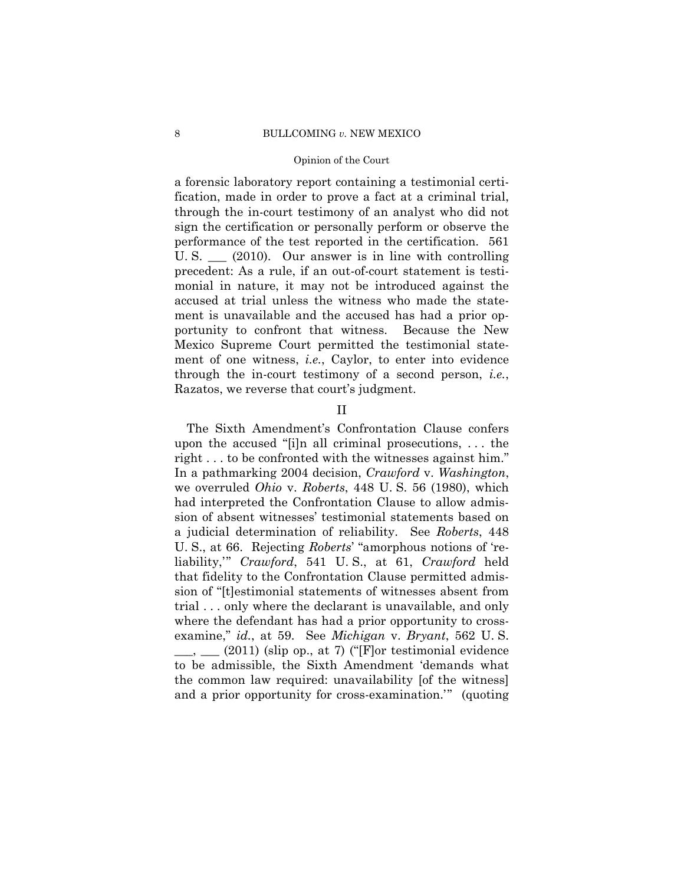## 8 BULLCOMING *v*. NEW MEXICO

#### Opinion of the Court

a forensic laboratory report containing a testimonial certification, made in order to prove a fact at a criminal trial, through the in-court testimony of an analyst who did not sign the certification or personally perform or observe the performance of the test reported in the certification. 561 U. S.  $\_\_$  (2010). Our answer is in line with controlling precedent: As a rule, if an out-of-court statement is testimonial in nature, it may not be introduced against the accused at trial unless the witness who made the statement is unavailable and the accused has had a prior opportunity to confront that witness. Because the New Mexico Supreme Court permitted the testimonial statement of one witness, *i.e.*, Caylor, to enter into evidence through the in-court testimony of a second person, *i.e.*, Razatos, we reverse that court's judgment.

## II

 The Sixth Amendment's Confrontation Clause confers upon the accused "[i]n all criminal prosecutions, . . . the right . . . to be confronted with the witnesses against him." In a pathmarking 2004 decision, *Crawford* v. *Washington*, we overruled *Ohio* v. *Roberts*, 448 U. S. 56 (1980), which had interpreted the Confrontation Clause to allow admission of absent witnesses' testimonial statements based on a judicial determination of reliability. See *Roberts*, 448 U. S., at 66. Rejecting *Roberts*' "amorphous notions of 'reliability,'" *Crawford*, 541 U. S., at 61, *Crawford* held that fidelity to the Confrontation Clause permitted admission of "[t]estimonial statements of witnesses absent from trial . . . only where the declarant is unavailable, and only where the defendant has had a prior opportunity to crossexamine," *id.*, at 59. See *Michigan* v. *Bryant*, 562 U. S. \_\_\_, \_\_\_ (2011) (slip op., at 7) ("[F]or testimonial evidence to be admissible, the Sixth Amendment 'demands what the common law required: unavailability [of the witness] and a prior opportunity for cross-examination.'" (quoting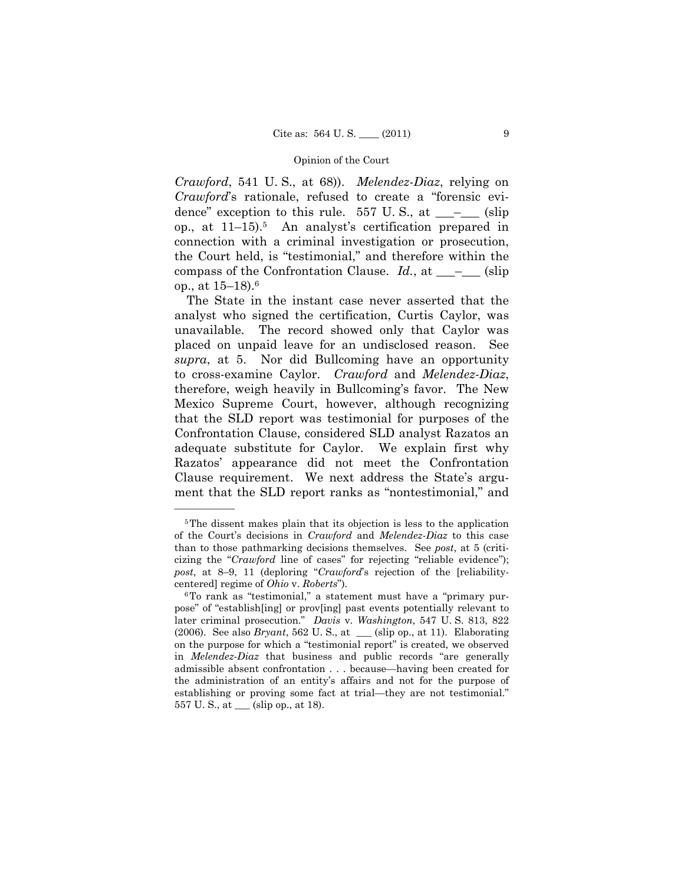*Crawford*, 541 U. S., at 68)). *Melendez-Diaz*, relying on *Crawford*'s rationale, refused to create a "forensic evidence" exception to this rule.  $557 \text{ U.S., at }$  \_\_\_\_\_\_\_ (slip op., at 11–15).5 An analyst's certification prepared in connection with a criminal investigation or prosecution, the Court held, is "testimonial," and therefore within the compass of the Confrontation Clause. *Id.*, at \_\_\_<sup>\_</sup>\_\_\_ (slip op., at 15–18).6

 The State in the instant case never asserted that the analyst who signed the certification, Curtis Caylor, was unavailable. The record showed only that Caylor was placed on unpaid leave for an undisclosed reason. See *supra*, at 5. Nor did Bullcoming have an opportunity to cross-examine Caylor. *Crawford* and *Melendez-Diaz*, therefore, weigh heavily in Bullcoming's favor. The New Mexico Supreme Court, however, although recognizing that the SLD report was testimonial for purposes of the Confrontation Clause, considered SLD analyst Razatos an adequate substitute for Caylor. We explain first why Razatos' appearance did not meet the Confrontation Clause requirement. We next address the State's argument that the SLD report ranks as "nontestimonial," and

<sup>&</sup>lt;sup>5</sup>The dissent makes plain that its objection is less to the application of the Court's decisions in *Crawford* and *Melendez-Diaz* to this case than to those pathmarking decisions themselves. See *post*, at 5 (criticizing the "*Crawford* line of cases" for rejecting "reliable evidence"); *post*, at 8–9, 11 (deploring "*Crawford*'s rejection of the [reliabilitycentered] regime of *Ohio* v. *Roberts*").<br><sup>6</sup>To rank as "testimonial," a statement must have a "primary pur-

pose" of "establish[ing] or prov[ing] past events potentially relevant to later criminal prosecution." *Davis* v. *Washington*, 547 U. S. 813, 822 (2006). See also *Bryant*, 562 U. S., at \_\_\_ (slip op., at 11). Elaborating on the purpose for which a "testimonial report" is created, we observed in *Melendez-Diaz* that business and public records "are generally admissible absent confrontation . . . because—having been created for the administration of an entity's affairs and not for the purpose of establishing or proving some fact at trial—they are not testimonial." 557 U. S., at \_\_\_ (slip op., at 18).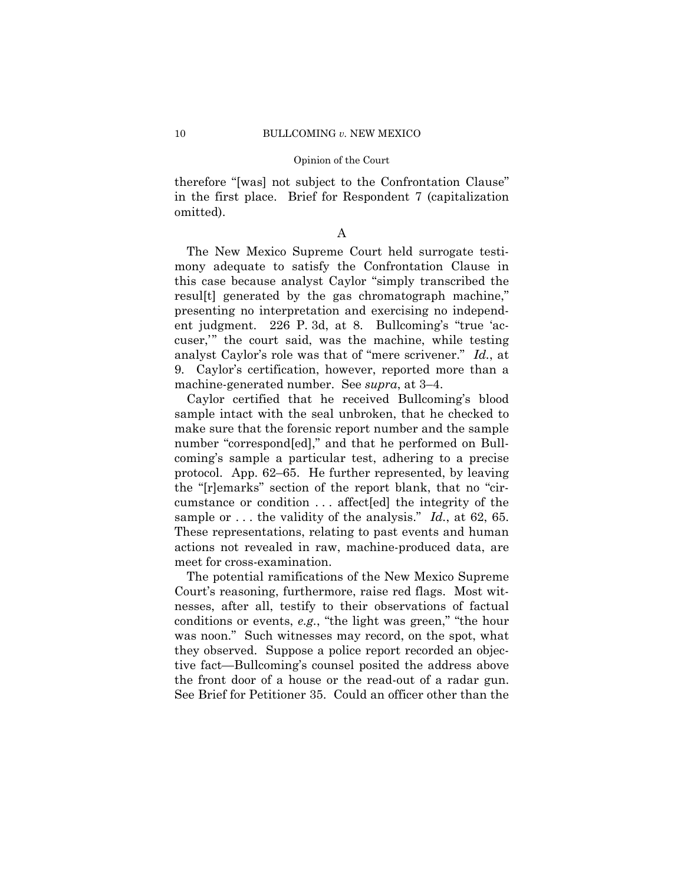therefore "[was] not subject to the Confrontation Clause" in the first place. Brief for Respondent 7 (capitalization omitted).

# A

 The New Mexico Supreme Court held surrogate testimony adequate to satisfy the Confrontation Clause in this case because analyst Caylor "simply transcribed the resul[t] generated by the gas chromatograph machine," presenting no interpretation and exercising no independent judgment. 226 P. 3d, at 8. Bullcoming's "true 'accuser,'" the court said, was the machine, while testing analyst Caylor's role was that of "mere scrivener." *Id.*, at 9*.* Caylor's certification, however, reported more than a machine-generated number. See *supra*, at 3–4.

 Caylor certified that he received Bullcoming's blood sample intact with the seal unbroken, that he checked to make sure that the forensic report number and the sample number "correspond[ed]," and that he performed on Bullcoming's sample a particular test, adhering to a precise protocol. App. 62–65. He further represented, by leaving the "[r]emarks" section of the report blank, that no "circumstance or condition . . . affect[ed] the integrity of the sample or . . . the validity of the analysis." *Id.*, at 62, 65. These representations, relating to past events and human actions not revealed in raw, machine-produced data, are meet for cross-examination.

 The potential ramifications of the New Mexico Supreme Court's reasoning, furthermore, raise red flags. Most witnesses, after all, testify to their observations of factual conditions or events, *e.g.*, "the light was green," "the hour was noon." Such witnesses may record, on the spot, what they observed. Suppose a police report recorded an objective fact—Bullcoming's counsel posited the address above the front door of a house or the read-out of a radar gun. See Brief for Petitioner 35. Could an officer other than the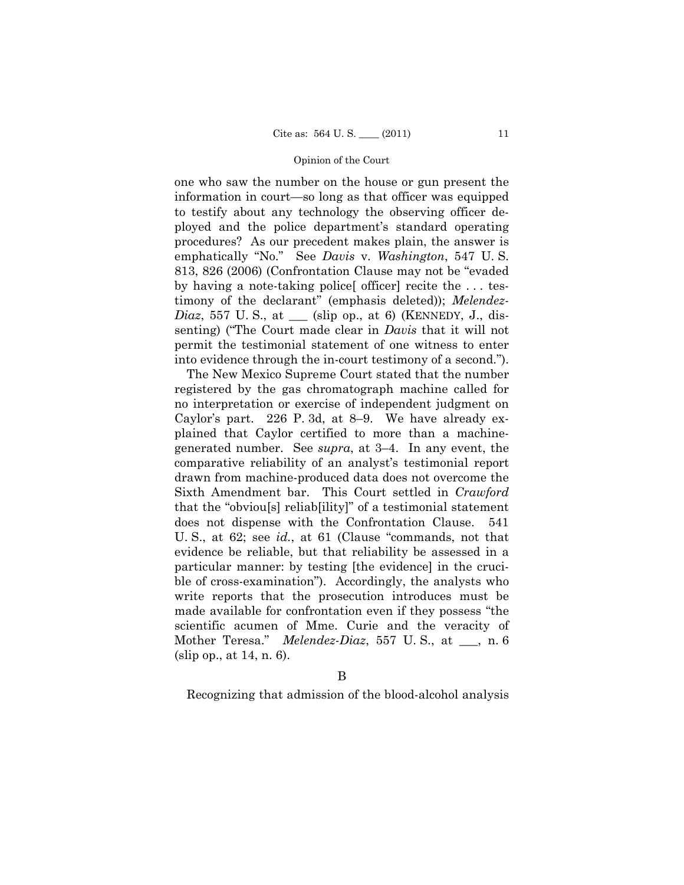one who saw the number on the house or gun present the information in court—so long as that officer was equipped to testify about any technology the observing officer deployed and the police department's standard operating procedures? As our precedent makes plain, the answer is emphatically "No." See *Davis* v. *Washington*, 547 U. S. 813, 826 (2006) (Confrontation Clause may not be "evaded by having a note-taking police [ officer] recite the ... testimony of the declarant" (emphasis deleted)); *Melendez-Diaz*, 557 U.S., at <u>each</u> (slip op., at 6) (KENNEDY, J., dissenting) ("The Court made clear in *Davis* that it will not permit the testimonial statement of one witness to enter into evidence through the in-court testimony of a second.").

 The New Mexico Supreme Court stated that the number registered by the gas chromatograph machine called for no interpretation or exercise of independent judgment on Caylor's part. 226 P. 3d, at 8–9. We have already explained that Caylor certified to more than a machinegenerated number. See *supra*, at 3–4. In any event, the comparative reliability of an analyst's testimonial report drawn from machine-produced data does not overcome the Sixth Amendment bar. This Court settled in *Crawford* that the "obviou[s] reliab[ility]" of a testimonial statement does not dispense with the Confrontation Clause. 541 U. S., at 62; see *id.*, at 61 (Clause "commands, not that evidence be reliable, but that reliability be assessed in a particular manner: by testing [the evidence] in the crucible of cross-examination"). Accordingly, the analysts who write reports that the prosecution introduces must be made available for confrontation even if they possess "the scientific acumen of Mme. Curie and the veracity of Mother Teresa." *Melendez-Diaz*, 557 U. S., at \_\_\_, n. 6 (slip op., at 14, n. 6).

Recognizing that admission of the blood-alcohol analysis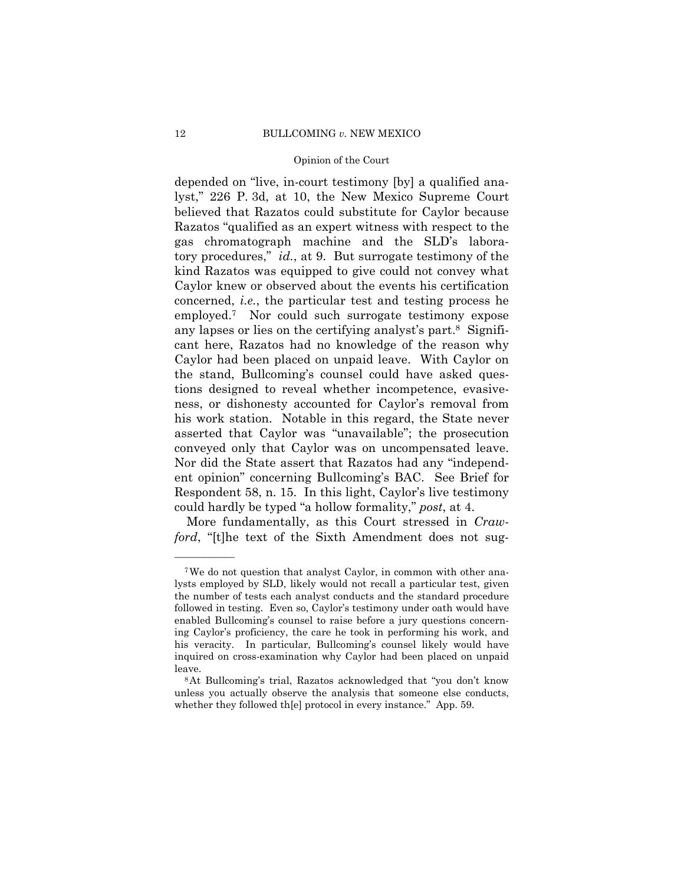depended on "live, in-court testimony [by] a qualified analyst," 226 P. 3d, at 10, the New Mexico Supreme Court believed that Razatos could substitute for Caylor because Razatos "qualified as an expert witness with respect to the gas chromatograph machine and the SLD's laboratory procedures," *id.*, at 9. But surrogate testimony of the kind Razatos was equipped to give could not convey what Caylor knew or observed about the events his certification concerned, *i.e.*, the particular test and testing process he employed.7 Nor could such surrogate testimony expose any lapses or lies on the certifying analyst's part.8 Significant here, Razatos had no knowledge of the reason why Caylor had been placed on unpaid leave. With Caylor on the stand, Bullcoming's counsel could have asked questions designed to reveal whether incompetence, evasiveness, or dishonesty accounted for Caylor's removal from his work station. Notable in this regard, the State never asserted that Caylor was "unavailable"; the prosecution conveyed only that Caylor was on uncompensated leave. Nor did the State assert that Razatos had any "independent opinion" concerning Bullcoming's BAC. See Brief for Respondent 58, n. 15. In this light, Caylor's live testimony could hardly be typed "a hollow formality," *post*, at 4.

 More fundamentally, as this Court stressed in *Crawford*, "[t]he text of the Sixth Amendment does not sug-

<sup>7</sup>We do not question that analyst Caylor, in common with other analysts employed by SLD, likely would not recall a particular test, given the number of tests each analyst conducts and the standard procedure followed in testing. Even so, Caylor's testimony under oath would have enabled Bullcoming's counsel to raise before a jury questions concerning Caylor's proficiency, the care he took in performing his work, and his veracity. In particular, Bullcoming's counsel likely would have inquired on cross-examination why Caylor had been placed on unpaid leave.<br><sup>8</sup>At Bullcoming's trial, Razatos acknowledged that "you don't know

unless you actually observe the analysis that someone else conducts, whether they followed the protocol in every instance." App. 59.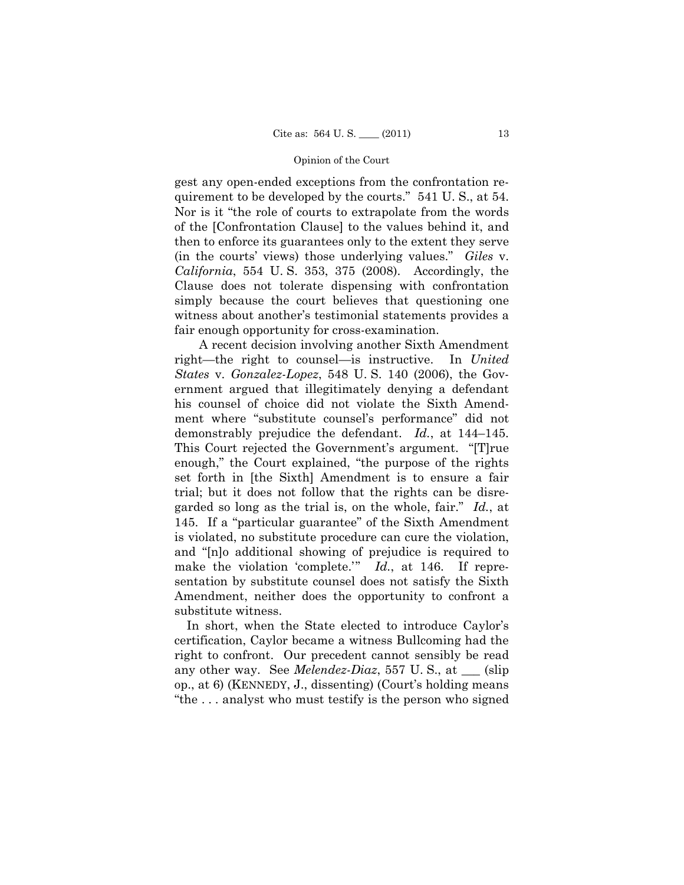gest any open-ended exceptions from the confrontation requirement to be developed by the courts." 541 U. S., at 54. Nor is it "the role of courts to extrapolate from the words of the [Confrontation Clause] to the values behind it, and then to enforce its guarantees only to the extent they serve (in the courts' views) those underlying values." *Giles* v. *California*, 554 U. S. 353, 375 (2008). Accordingly, the Clause does not tolerate dispensing with confrontation simply because the court believes that questioning one witness about another's testimonial statements provides a fair enough opportunity for cross-examination.

 A recent decision involving another Sixth Amendment right—the right to counsel—is instructive. In *United States* v. *Gonzalez-Lopez*, 548 U. S. 140 (2006), the Government argued that illegitimately denying a defendant his counsel of choice did not violate the Sixth Amendment where "substitute counsel's performance" did not demonstrably prejudice the defendant. *Id.*, at 144–145. This Court rejected the Government's argument. "[T]rue enough," the Court explained, "the purpose of the rights set forth in [the Sixth] Amendment is to ensure a fair trial; but it does not follow that the rights can be disregarded so long as the trial is, on the whole, fair." *Id.*, at 145. If a "particular guarantee" of the Sixth Amendment is violated, no substitute procedure can cure the violation, and "[n]o additional showing of prejudice is required to make the violation 'complete.'" *Id.*, at 146. If representation by substitute counsel does not satisfy the Sixth Amendment, neither does the opportunity to confront a substitute witness.

 In short, when the State elected to introduce Caylor's certification, Caylor became a witness Bullcoming had the right to confront. Our precedent cannot sensibly be read any other way. See *Melendez-Diaz*, 557 U. S., at \_\_\_ (slip op., at 6) (KENNEDY, J., dissenting) (Court's holding means "the . . . analyst who must testify is the person who signed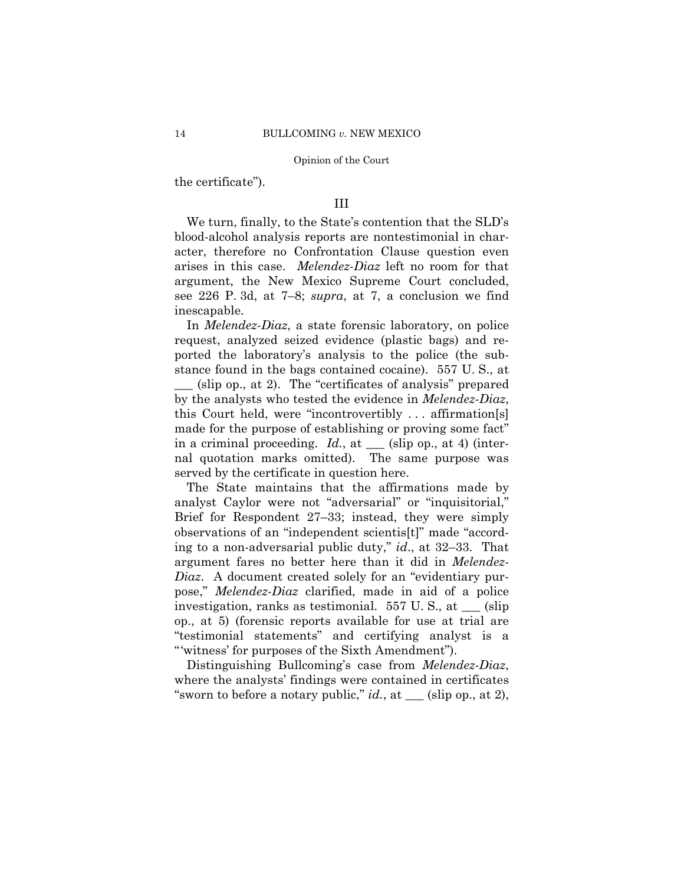the certificate").

# III

 We turn, finally, to the State's contention that the SLD's blood-alcohol analysis reports are nontestimonial in character, therefore no Confrontation Clause question even arises in this case. *Melendez-Diaz* left no room for that argument, the New Mexico Supreme Court concluded, see 226 P. 3d, at 7–8; *supra*, at 7, a conclusion we find inescapable.

 In *Melendez-Diaz*, a state forensic laboratory, on police request, analyzed seized evidence (plastic bags) and reported the laboratory's analysis to the police (the substance found in the bags contained cocaine). 557 U. S., at (slip op., at 2). The "certificates of analysis" prepared by the analysts who tested the evidence in *Melendez-Diaz*, this Court held, were "incontrovertibly . . . affirmation[s] made for the purpose of establishing or proving some fact" in a criminal proceeding.  $Id.$ , at  $\_\_\_\$  (slip op., at 4) (internal quotation marks omitted). The same purpose was served by the certificate in question here.

 The State maintains that the affirmations made by analyst Caylor were not "adversarial" or "inquisitorial," Brief for Respondent 27–33; instead, they were simply observations of an "independent scientis[t]" made "according to a non-adversarial public duty," *id*., at 32–33. That argument fares no better here than it did in *Melendez-Diaz*. A document created solely for an "evidentiary purpose," *Melendez-Diaz* clarified, made in aid of a police investigation, ranks as testimonial. 557 U. S., at \_\_\_ (slip op., at 5) (forensic reports available for use at trial are "testimonial statements" and certifying analyst is a "'witness' for purposes of the Sixth Amendment").

 Distinguishing Bullcoming's case from *Melendez-Diaz*, where the analysts' findings were contained in certificates "sworn to before a notary public," *id.*, at <u>section</u> (slip op., at 2),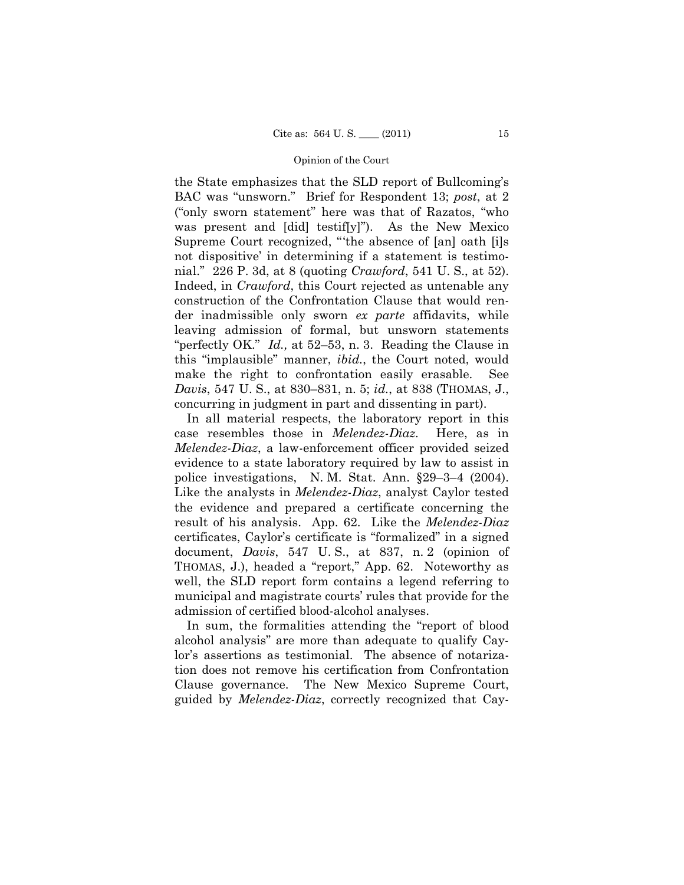the State emphasizes that the SLD report of Bullcoming's BAC was "unsworn." Brief for Respondent 13; *post*, at 2 ("only sworn statement" here was that of Razatos, "who was present and [did] testif[y]"). As the New Mexico Supreme Court recognized, "'the absence of [an] oath [i]s not dispositive' in determining if a statement is testimonial." 226 P. 3d, at 8 (quoting *Crawford*, 541 U. S., at 52). Indeed, in *Crawford*, this Court rejected as untenable any construction of the Confrontation Clause that would render inadmissible only sworn *ex parte* affidavits, while leaving admission of formal, but unsworn statements "perfectly OK." *Id.,* at 52–53, n. 3. Reading the Clause in this "implausible" manner, *ibid.*, the Court noted, would make the right to confrontation easily erasable. See *Davis*, 547 U. S., at 830–831, n. 5; *id.*, at 838 (THOMAS, J., concurring in judgment in part and dissenting in part).

 In all material respects, the laboratory report in this case resembles those in *Melendez-Diaz*. Here, as in *Melendez-Diaz*, a law-enforcement officer provided seized evidence to a state laboratory required by law to assist in police investigations, N. M. Stat. Ann. §29–3–4 (2004). Like the analysts in *Melendez-Diaz*, analyst Caylor tested the evidence and prepared a certificate concerning the result of his analysis. App. 62. Like the *Melendez-Diaz*  certificates, Caylor's certificate is "formalized" in a signed document, *Davis*, 547 U. S., at 837, n. 2 (opinion of THOMAS, J.), headed a "report," App. 62. Noteworthy as well, the SLD report form contains a legend referring to municipal and magistrate courts' rules that provide for the admission of certified blood-alcohol analyses.

 In sum, the formalities attending the "report of blood alcohol analysis" are more than adequate to qualify Caylor's assertions as testimonial. The absence of notarization does not remove his certification from Confrontation Clause governance. The New Mexico Supreme Court, guided by *Melendez-Diaz*, correctly recognized that Cay-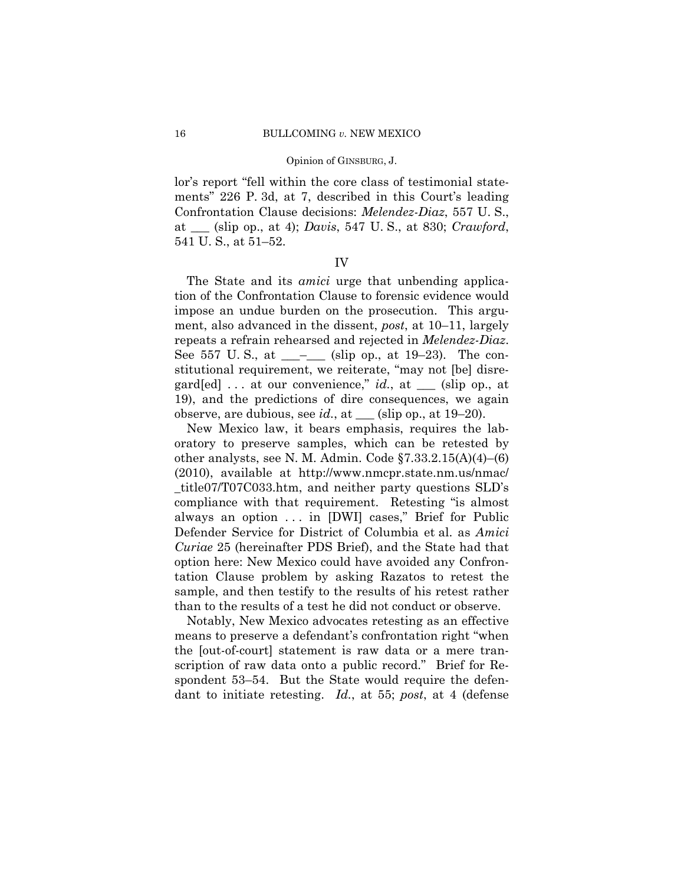#### Opinion of GINSBURG, J.

lor's report "fell within the core class of testimonial statements" 226 P. 3d, at 7, described in this Court's leading Confrontation Clause decisions: *Melendez-Diaz*, 557 U. S., at \_\_\_ (slip op., at 4); *Davis*, 547 U. S., at 830; *Crawford*, 541 U. S., at 51–52.

#### IV

 The State and its *amici* urge that unbending application of the Confrontation Clause to forensic evidence would impose an undue burden on the prosecution. This argument, also advanced in the dissent, *post*, at 10–11, largely repeats a refrain rehearsed and rejected in *Melendez-Diaz*. See 557 U.S., at  $\_\_\_\_\_$  (slip op., at 19–23). The constitutional requirement, we reiterate, "may not [be] disregard[ed] . . . at our convenience," *id.*, at \_\_\_ (slip op., at 19), and the predictions of dire consequences, we again observe, are dubious, see *id.*, at  $\_\_$  (slip op., at 19–20).

 New Mexico law, it bears emphasis, requires the laboratory to preserve samples, which can be retested by other analysts, see N. M. Admin. Code  $\S7.33.2.15(A)(4)$ –(6) (2010), available at http://www.nmcpr.state.nm.us/nmac/ \_title07/T07C033.htm, and neither party questions SLD's compliance with that requirement. Retesting "is almost always an option . . . in [DWI] cases," Brief for Public Defender Service for District of Columbia et al. as *Amici Curiae* 25 (hereinafter PDS Brief), and the State had that option here: New Mexico could have avoided any Confrontation Clause problem by asking Razatos to retest the sample, and then testify to the results of his retest rather than to the results of a test he did not conduct or observe.

 Notably, New Mexico advocates retesting as an effective means to preserve a defendant's confrontation right "when the [out-of-court] statement is raw data or a mere transcription of raw data onto a public record." Brief for Respondent 53–54. But the State would require the defendant to initiate retesting. *Id.*, at 55; *post*, at 4 (defense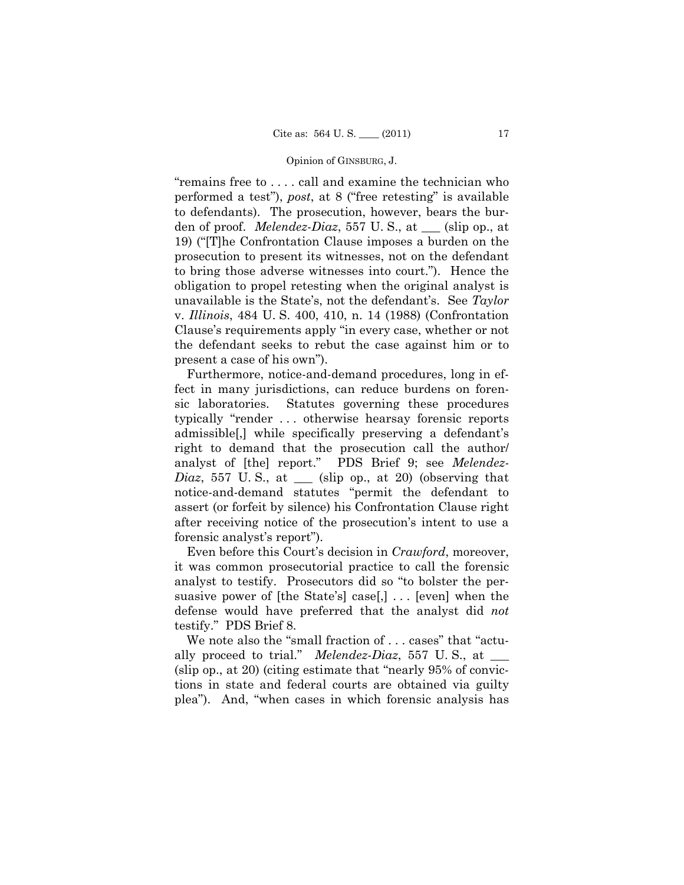#### Opinion of GINSBURG, J.

"remains free to . . . . call and examine the technician who performed a test"), *post*, at 8 ("free retesting" is available to defendants). The prosecution, however, bears the burden of proof. *Melendez-Diaz*, 557 U. S., at \_\_\_ (slip op., at 19) ("[T]he Confrontation Clause imposes a burden on the prosecution to present its witnesses, not on the defendant to bring those adverse witnesses into court."). Hence the obligation to propel retesting when the original analyst is unavailable is the State's, not the defendant's. See *Taylor* v. *Illinois*, 484 U. S. 400, 410, n. 14 (1988) (Confrontation Clause's requirements apply "in every case, whether or not the defendant seeks to rebut the case against him or to present a case of his own").

 Furthermore, notice-and-demand procedures, long in effect in many jurisdictions, can reduce burdens on forensic laboratories. Statutes governing these procedures typically "render . . . otherwise hearsay forensic reports admissible[,] while specifically preserving a defendant's right to demand that the prosecution call the author/ analyst of [the] report." PDS Brief 9; see *Melendez-Diaz*, 557 U.S., at <u>each set of</u> sample, at 20 (observing that notice-and-demand statutes "permit the defendant to assert (or forfeit by silence) his Confrontation Clause right after receiving notice of the prosecution's intent to use a forensic analyst's report").

 Even before this Court's decision in *Crawford*, moreover, it was common prosecutorial practice to call the forensic analyst to testify. Prosecutors did so "to bolster the persuasive power of [the State's] case[,] . . . [even] when the defense would have preferred that the analyst did *not*  testify." PDS Brief 8.

 We note also the "small fraction of . . . cases" that "actually proceed to trial." *Melendez-Diaz*, 557 U. S., at \_\_\_ (slip op., at 20) (citing estimate that "nearly 95% of convictions in state and federal courts are obtained via guilty plea"). And, "when cases in which forensic analysis has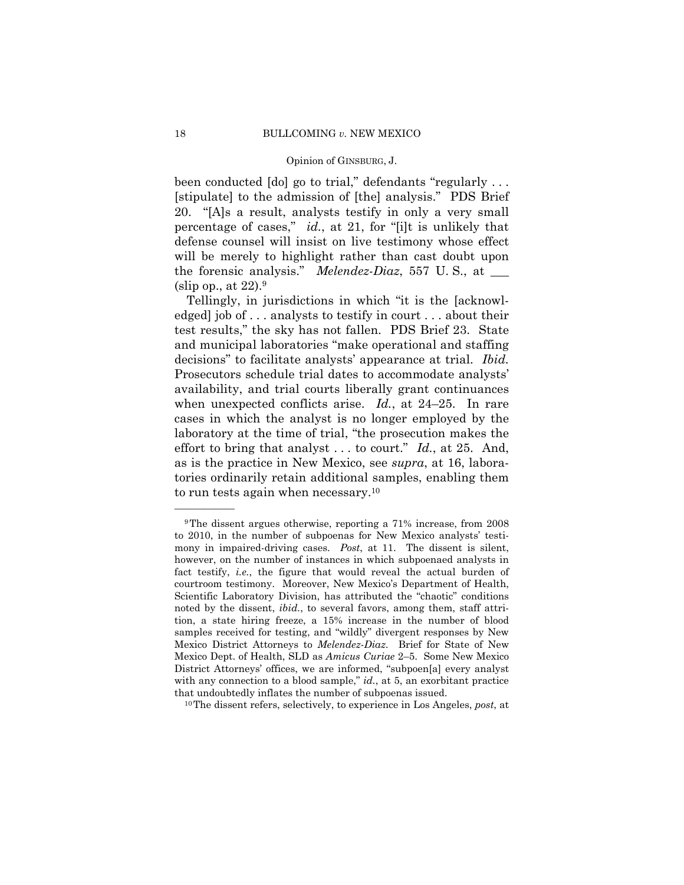#### Opinion of GINSBURG, J.

been conducted [do] go to trial," defendants "regularly . . . [stipulate] to the admission of [the] analysis." PDS Brief 20. "[A]s a result, analysts testify in only a very small percentage of cases," *id.*, at 21, for "[i]t is unlikely that defense counsel will insist on live testimony whose effect will be merely to highlight rather than cast doubt upon the forensic analysis." *Melendez-Diaz*, 557 U. S., at \_\_\_ (slip op., at  $22$ ).<sup>9</sup>

 Tellingly, in jurisdictions in which "it is the [acknowledged] job of . . . analysts to testify in court . . . about their test results," the sky has not fallen. PDS Brief 23. State and municipal laboratories "make operational and staffing decisions" to facilitate analysts' appearance at trial. *Ibid.*  Prosecutors schedule trial dates to accommodate analysts' availability, and trial courts liberally grant continuances when unexpected conflicts arise. *Id.*, at 24–25. In rare cases in which the analyst is no longer employed by the laboratory at the time of trial, "the prosecution makes the effort to bring that analyst . . . to court." *Id.*, at 25. And, as is the practice in New Mexico, see *supra*, at 16, laboratories ordinarily retain additional samples, enabling them to run tests again when necessary.10

<sup>9</sup>The dissent argues otherwise, reporting a 71% increase, from 2008 to 2010, in the number of subpoenas for New Mexico analysts' testimony in impaired-driving cases. *Post*, at 11. The dissent is silent, however, on the number of instances in which subpoenaed analysts in fact testify, *i.e.*, the figure that would reveal the actual burden of courtroom testimony. Moreover, New Mexico's Department of Health, Scientific Laboratory Division, has attributed the "chaotic" conditions noted by the dissent, *ibid.*, to several favors, among them, staff attrition, a state hiring freeze, a 15% increase in the number of blood samples received for testing, and "wildly" divergent responses by New Mexico District Attorneys to *Melendez-Diaz*. Brief for State of New Mexico Dept. of Health, SLD as *Amicus Curiae* 2–5. Some New Mexico District Attorneys' offices, we are informed, "subpoen[a] every analyst with any connection to a blood sample," *id.*, at 5, an exorbitant practice that undoubtedly inflates the number of subpoenas issued. 10The dissent refers, selectively, to experience in Los Angeles, *post*, at